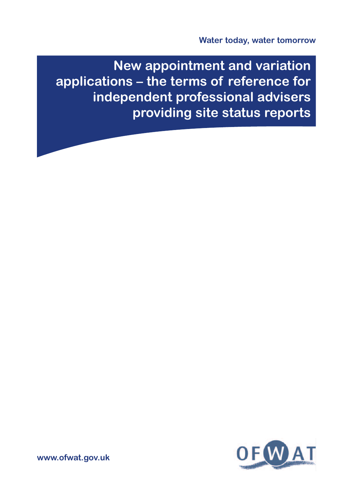**New appointment and variation applications – the terms of reference for independent professional advisers providing site status reports**



**www.ofwat.gov.uk**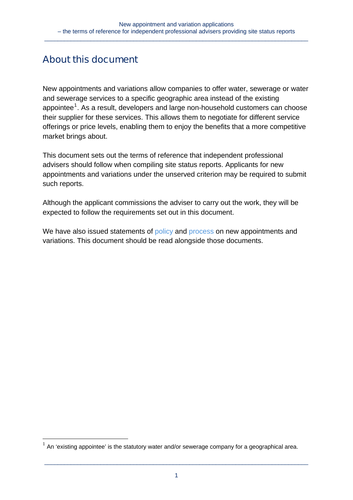## **About this document**

<u>.</u>

New appointments and variations allow companies to offer water, sewerage or water and sewerage services to a specific geographic area instead of the existing appointee $1$ . As a result, developers and large non-household customers can choose their supplier for these services. This allows them to negotiate for different service offerings or price levels, enabling them to enjoy the benefits that a more competitive market brings about.

This document sets out the terms of reference that independent professional advisers should follow when compiling site status reports. Applicants for new appointments and variations under the unserved criterion may be required to submit such reports.

Although the applicant commissions the adviser to carry out the work, they will be expected to follow the requirements set out in this document.

We have also issued statements o[f policy](http://www.ofwat.gov.uk/competition/inset/pap_pos110228navpolicy.pdf) and [process](http://www.ofwat.gov.uk/competition/inset/pap_pos110228navprocess.pdf) on new appointments and variations. This document should be read alongside those documents.

<span id="page-1-0"></span><sup>1</sup> An 'existing appointee' is the statutory water and/or sewerage company for a geographical area.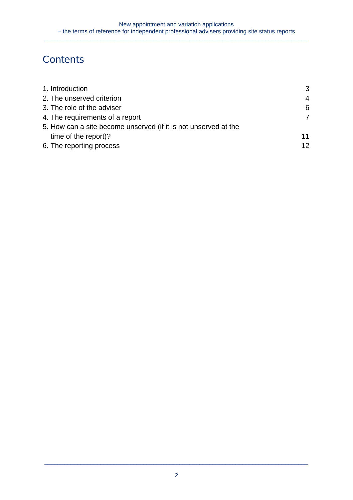# **Contents**

| 1. Introduction                                                 | 3  |
|-----------------------------------------------------------------|----|
| 2. The unserved criterion                                       | 4  |
| 3. The role of the adviser                                      | 6  |
| 4. The requirements of a report                                 | 7  |
| 5. How can a site become unserved (if it is not unserved at the |    |
| time of the report)?                                            | 11 |
| 6. The reporting process                                        | 12 |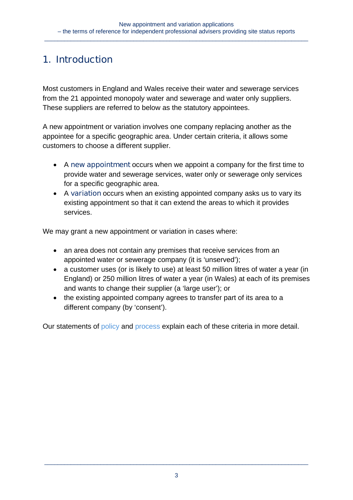## **1. Introduction**

Most customers in England and Wales receive their water and sewerage services from the 21 appointed monopoly water and sewerage and water only suppliers. These suppliers are referred to below as the statutory appointees.

A new appointment or variation involves one company replacing another as the appointee for a specific geographic area. Under certain criteria, it allows some customers to choose a different supplier.

- A **new appointment** occurs when we appoint a company for the first time to provide water and sewerage services, water only or sewerage only services for a specific geographic area.
- A **variation** occurs when an existing appointed company asks us to vary its existing appointment so that it can extend the areas to which it provides services.

We may grant a new appointment or variation in cases where:

- an area does not contain any premises that receive services from an appointed water or sewerage company (it is 'unserved');
- a customer uses (or is likely to use) at least 50 million litres of water a year (in England) or 250 million litres of water a year (in Wales) at each of its premises and wants to change their supplier (a 'large user'); or
- the existing appointed company agrees to transfer part of its area to a different company (by 'consent').

Our statements of [policy](http://www.ofwat.gov.uk/competition/inset/pap_pos110228navpolicy.pdf) and [process](http://www.ofwat.gov.uk/competition/inset/pap_pos110228navprocess.pdf) explain each of these criteria in more detail.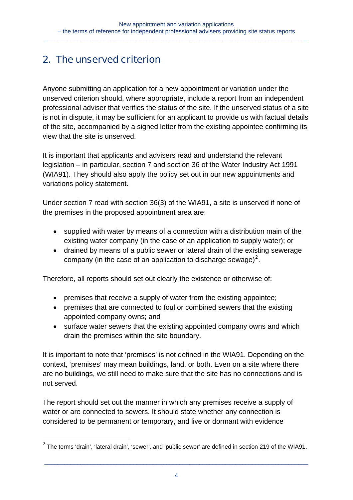## **2. The unserved criterion**

Anyone submitting an application for a new appointment or variation under the unserved criterion should, where appropriate, include a report from an independent professional adviser that verifies the status of the site. If the unserved status of a site is not in dispute, it may be sufficient for an applicant to provide us with factual details of the site, accompanied by a signed letter from the existing appointee confirming its view that the site is unserved.

It is important that applicants and advisers read and understand the relevant legislation – in particular, section 7 and section 36 of the Water Industry Act 1991 (WIA91). They should also apply the policy set out in our new appointments and variations policy statement.

Under section 7 read with section 36(3) of the WIA91, a site is unserved if none of the premises in the proposed appointment area are:

- supplied with water by means of a connection with a distribution main of the existing water company (in the case of an application to supply water); or
- drained by means of a public sewer or lateral drain of the existing sewerage company (in the case of an application to discharge sewage)<sup>[2](#page-4-0)</sup>.

Therefore, all reports should set out clearly the existence or otherwise of:

- premises that receive a supply of water from the existing appointee;
- premises that are connected to foul or combined sewers that the existing appointed company owns; and
- surface water sewers that the existing appointed company owns and which drain the premises within the site boundary.

It is important to note that 'premises' is not defined in the WIA91. Depending on the context, 'premises' may mean buildings, land, or both. Even on a site where there are no buildings, we still need to make sure that the site has no connections and is not served.

The report should set out the manner in which any premises receive a supply of water or are connected to sewers. It should state whether any connection is considered to be permanent or temporary, and live or dormant with evidence

<u>.</u>

<span id="page-4-0"></span> $^2$  The terms 'drain', 'lateral drain', 'sewer', and 'public sewer' are defined in section 219 of the WIA91.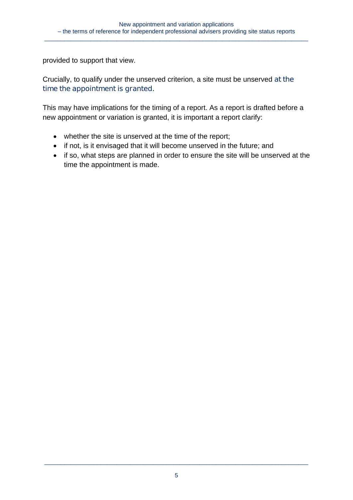provided to support that view.

Crucially, to qualify under the unserved criterion, a site must be unserved **at the time the appointment is granted.** 

This may have implications for the timing of a report. As a report is drafted before a new appointment or variation is granted, it is important a report clarify:

- whether the site is unserved at the time of the report;
- if not, is it envisaged that it will become unserved in the future; and
- if so, what steps are planned in order to ensure the site will be unserved at the time the appointment is made.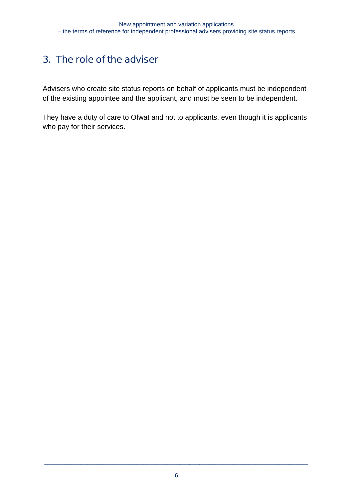### **3. The role of the adviser**

Advisers who create site status reports on behalf of applicants must be independent of the existing appointee and the applicant, and must be seen to be independent.

They have a duty of care to Ofwat and not to applicants, even though it is applicants who pay for their services.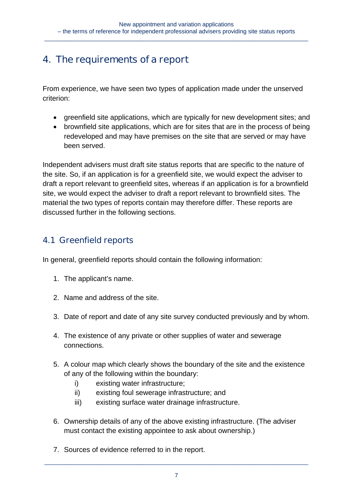### **4. The requirements of a report**

From experience, we have seen two types of application made under the unserved criterion:

- greenfield site applications, which are typically for new development sites; and
- brownfield site applications, which are for sites that are in the process of being redeveloped and may have premises on the site that are served or may have been served.

Independent advisers must draft site status reports that are specific to the nature of the site. So, if an application is for a greenfield site, we would expect the adviser to draft a report relevant to greenfield sites, whereas if an application is for a brownfield site, we would expect the adviser to draft a report relevant to brownfield sites. The material the two types of reports contain may therefore differ. These reports are discussed further in the following sections.

### **4.1 Greenfield reports**

In general, greenfield reports should contain the following information:

- 1. The applicant's name.
- 2. Name and address of the site.
- 3. Date of report and date of any site survey conducted previously and by whom.
- 4. The existence of any private or other supplies of water and sewerage connections.
- 5. A colour map which clearly shows the boundary of the site and the existence of any of the following within the boundary:
	- i) existing water infrastructure;
	- ii) existing foul sewerage infrastructure; and
	- iii) existing surface water drainage infrastructure.
- 6. Ownership details of any of the above existing infrastructure. (The adviser must contact the existing appointee to ask about ownership.)
- 7. Sources of evidence referred to in the report.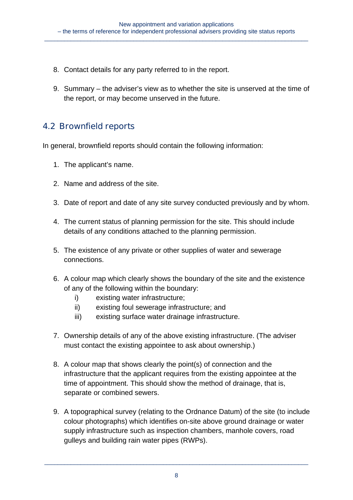- 8. Contact details for any party referred to in the report.
- 9. Summary the adviser's view as to whether the site is unserved at the time of the report, or may become unserved in the future.

#### **4.2 Brownfield reports**

In general, brownfield reports should contain the following information:

- 1. The applicant's name.
- 2. Name and address of the site.
- 3. Date of report and date of any site survey conducted previously and by whom.
- 4. The current status of planning permission for the site. This should include details of any conditions attached to the planning permission.
- 5. The existence of any private or other supplies of water and sewerage connections.
- 6. A colour map which clearly shows the boundary of the site and the existence of any of the following within the boundary:
	- i) existing water infrastructure;
	- ii) existing foul sewerage infrastructure; and
	- iii) existing surface water drainage infrastructure.
- 7. Ownership details of any of the above existing infrastructure. (The adviser must contact the existing appointee to ask about ownership.)
- 8. A colour map that shows clearly the point(s) of connection and the infrastructure that the applicant requires from the existing appointee at the time of appointment. This should show the method of drainage, that is, separate or combined sewers.
- 9. A topographical survey (relating to the Ordnance Datum) of the site (to include colour photographs) which identifies on-site above ground drainage or water supply infrastructure such as inspection chambers, manhole covers, road gulleys and building rain water pipes (RWPs).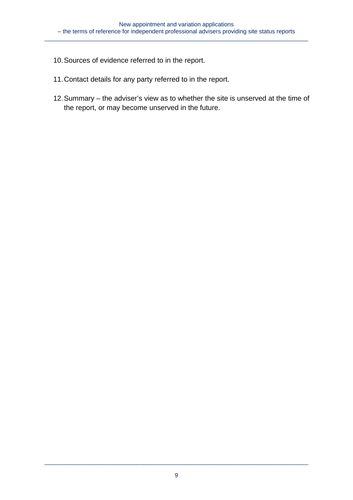- 10. Sources of evidence referred to in the report.
- 11. Contact details for any party referred to in the report.
- 12. Summary the adviser's view as to whether the site is unserved at the time of the report, or may become unserved in the future.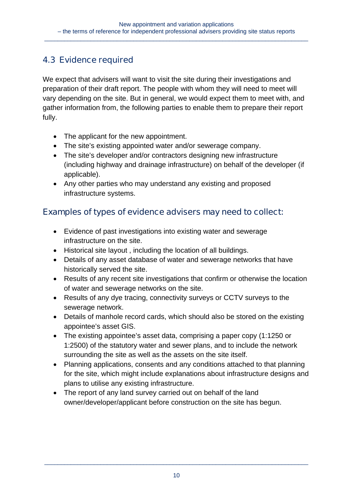### **4.3 Evidence required**

We expect that advisers will want to visit the site during their investigations and preparation of their draft report. The people with whom they will need to meet will vary depending on the site. But in general, we would expect them to meet with, and gather information from, the following parties to enable them to prepare their report fully.

- The applicant for the new appointment.
- The site's existing appointed water and/or sewerage company.
- The site's developer and/or contractors designing new infrastructure (including highway and drainage infrastructure) on behalf of the developer (if applicable).
- Any other parties who may understand any existing and proposed infrastructure systems.

#### **Examples of types of evidence advisers may need to collect:**

- Evidence of past investigations into existing water and sewerage infrastructure on the site.
- Historical site layout , including the location of all buildings.
- Details of any asset database of water and sewerage networks that have historically served the site.
- Results of any recent site investigations that confirm or otherwise the location of water and sewerage networks on the site.
- Results of any dye tracing, connectivity surveys or CCTV surveys to the sewerage network.
- Details of manhole record cards, which should also be stored on the existing appointee's asset GIS.
- The existing appointee's asset data, comprising a paper copy (1:1250 or 1:2500) of the statutory water and sewer plans, and to include the network surrounding the site as well as the assets on the site itself.
- Planning applications, consents and any conditions attached to that planning for the site, which might include explanations about infrastructure designs and plans to utilise any existing infrastructure.
- The report of any land survey carried out on behalf of the land owner/developer/applicant before construction on the site has begun.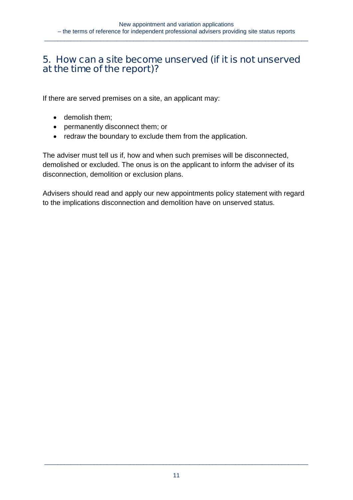### **5. How can a site become unserved (if it is not unserved at the time of the report)?**

If there are served premises on a site, an applicant may:

- demolish them;
- permanently disconnect them; or
- redraw the boundary to exclude them from the application.

The adviser must tell us if, how and when such premises will be disconnected, demolished or excluded. The onus is on the applicant to inform the adviser of its disconnection, demolition or exclusion plans.

Advisers should read and apply our new appointments policy statement with regard to the implications disconnection and demolition have on unserved status.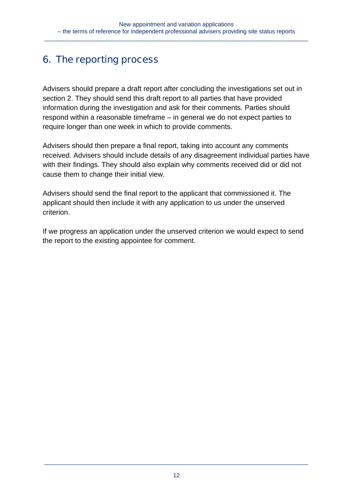## **6. The reporting process**

Advisers should prepare a draft report after concluding the investigations set out in section 2. They should send this draft report to all parties that have provided information during the investigation and ask for their comments. Parties should respond within a reasonable timeframe – in general we do not expect parties to require longer than one week in which to provide comments.

Advisers should then prepare a final report, taking into account any comments received. Advisers should include details of any disagreement individual parties have with their findings. They should also explain why comments received did or did not cause them to change their initial view.

Advisers should send the final report to the applicant that commissioned it. The applicant should then include it with any application to us under the unserved criterion.

If we progress an application under the unserved criterion we would expect to send the report to the existing appointee for comment.